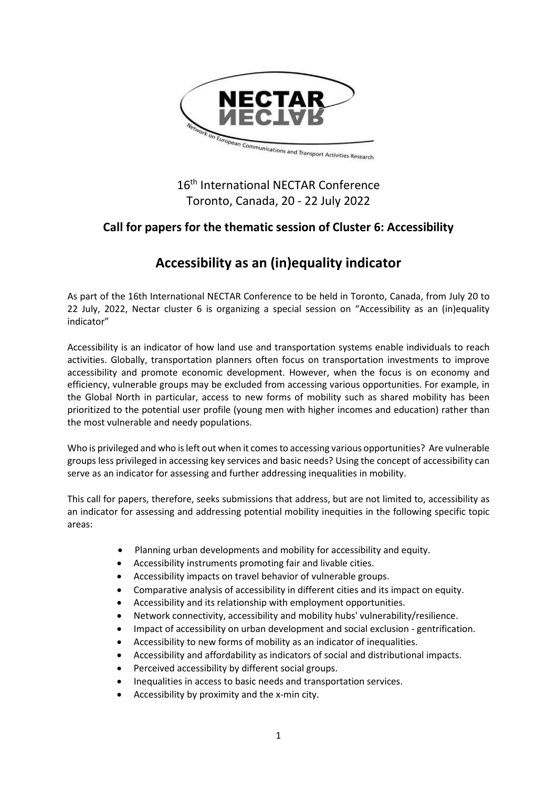

## 16<sup>th</sup> International NECTAR Conference Toronto, Canada, 20 - 22 July 2022

### **Call for papers for the thematic session of Cluster 6: Accessibility**

# **Accessibility as an (in)equality indicator**

As part of the 16th International NECTAR Conference to be held in Toronto, Canada, from July 20 to 22 July, 2022, Nectar cluster 6 is organizing a special session on "Accessibility as an (in)equality indicator"

Accessibility is an indicator of how land use and transportation systems enable individuals to reach activities. Globally, transportation planners often focus on transportation investments to improve accessibility and promote economic development. However, when the focus is on economy and efficiency, vulnerable groups may be excluded from accessing various opportunities. For example, in the Global North in particular, access to new forms of mobility such as shared mobility has been prioritized to the potential user profile (young men with higher incomes and education) rather than the most vulnerable and needy populations.

Who is privileged and who is left out when it comes to accessing various opportunities? Are vulnerable groups less privileged in accessing key services and basic needs? Using the concept of accessibility can serve as an indicator for assessing and further addressing inequalities in mobility.

This call for papers, therefore, seeks submissions that address, but are not limited to, accessibility as an indicator for assessing and addressing potential mobility inequities in the following specific topic areas:

- Planning urban developments and mobility for accessibility and equity.
- Accessibility instruments promoting fair and livable cities.
- Accessibility impacts on travel behavior of vulnerable groups.
- Comparative analysis of accessibility in different cities and its impact on equity.
- Accessibility and its relationship with employment opportunities.
- Network connectivity, accessibility and mobility hubs' vulnerability/resilience.
- Impact of accessibility on urban development and social exclusion gentrification.
- Accessibility to new forms of mobility as an indicator of inequalities.
- Accessibility and affordability as indicators of social and distributional impacts.
- Perceived accessibility by different social groups.
- Inequalities in access to basic needs and transportation services.
- Accessibility by proximity and the x-min city.